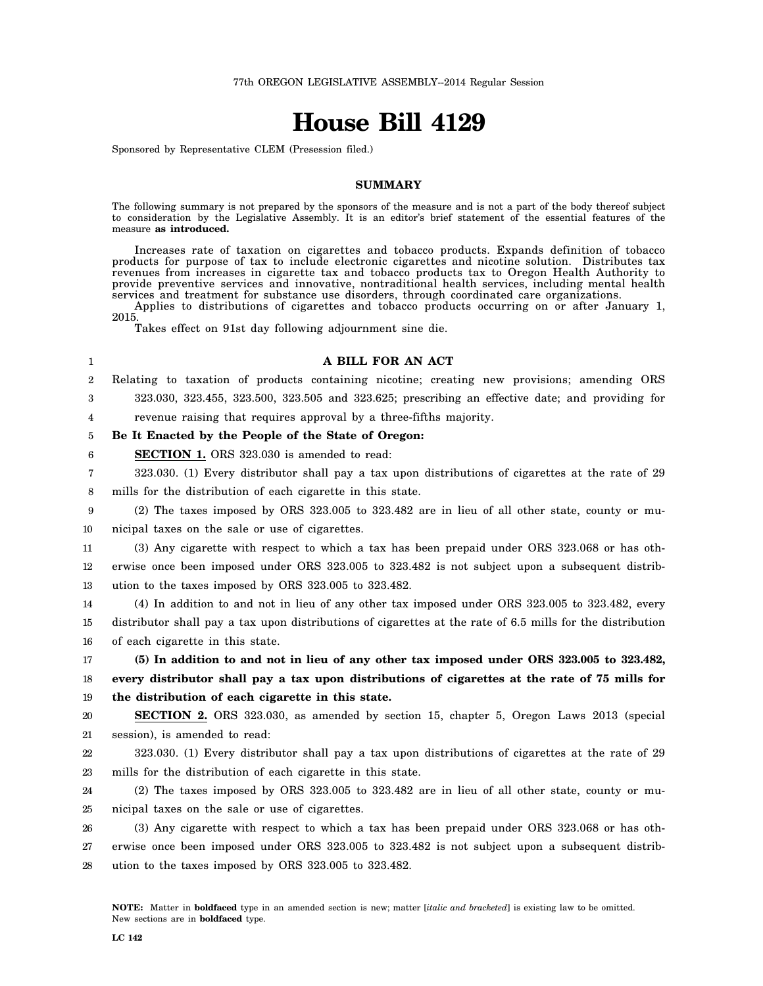# **House Bill 4129**

Sponsored by Representative CLEM (Presession filed.)

## **SUMMARY**

The following summary is not prepared by the sponsors of the measure and is not a part of the body thereof subject to consideration by the Legislative Assembly. It is an editor's brief statement of the essential features of the measure **as introduced.**

Increases rate of taxation on cigarettes and tobacco products. Expands definition of tobacco products for purpose of tax to include electronic cigarettes and nicotine solution. Distributes tax revenues from increases in cigarette tax and tobacco products tax to Oregon Health Authority to provide preventive services and innovative, nontraditional health services, including mental health services and treatment for substance use disorders, through coordinated care organizations.

Applies to distributions of cigarettes and tobacco products occurring on or after January 1, 2015.

Takes effect on 91st day following adjournment sine die.

#### 1

#### **A BILL FOR AN ACT**

2 Relating to taxation of products containing nicotine; creating new provisions; amending ORS

3 323.030, 323.455, 323.500, 323.505 and 323.625; prescribing an effective date; and providing for

4 revenue raising that requires approval by a three-fifths majority.

5 **Be It Enacted by the People of the State of Oregon:**

6 **SECTION 1.** ORS 323.030 is amended to read:

7 8 323.030. (1) Every distributor shall pay a tax upon distributions of cigarettes at the rate of 29 mills for the distribution of each cigarette in this state.

9 10 (2) The taxes imposed by ORS 323.005 to 323.482 are in lieu of all other state, county or municipal taxes on the sale or use of cigarettes.

11 12 13 (3) Any cigarette with respect to which a tax has been prepaid under ORS 323.068 or has otherwise once been imposed under ORS 323.005 to 323.482 is not subject upon a subsequent distribution to the taxes imposed by ORS 323.005 to 323.482.

14 15 16 (4) In addition to and not in lieu of any other tax imposed under ORS 323.005 to 323.482, every distributor shall pay a tax upon distributions of cigarettes at the rate of 6.5 mills for the distribution of each cigarette in this state.

17 18 19 **(5) In addition to and not in lieu of any other tax imposed under ORS 323.005 to 323.482, every distributor shall pay a tax upon distributions of cigarettes at the rate of 75 mills for the distribution of each cigarette in this state.**

20 21 **SECTION 2.** ORS 323.030, as amended by section 15, chapter 5, Oregon Laws 2013 (special session), is amended to read:

22 23 323.030. (1) Every distributor shall pay a tax upon distributions of cigarettes at the rate of 29 mills for the distribution of each cigarette in this state.

24 25 (2) The taxes imposed by ORS 323.005 to 323.482 are in lieu of all other state, county or municipal taxes on the sale or use of cigarettes.

26 27 28 (3) Any cigarette with respect to which a tax has been prepaid under ORS 323.068 or has otherwise once been imposed under ORS 323.005 to 323.482 is not subject upon a subsequent distribution to the taxes imposed by ORS 323.005 to 323.482.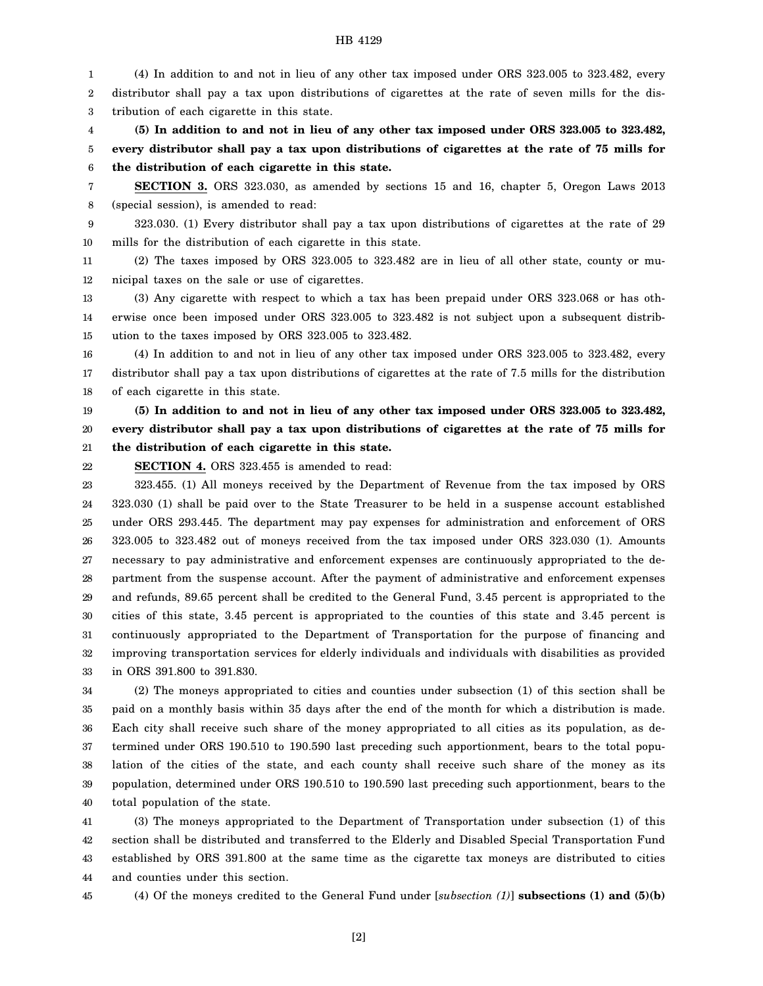1 2 3 (4) In addition to and not in lieu of any other tax imposed under ORS 323.005 to 323.482, every distributor shall pay a tax upon distributions of cigarettes at the rate of seven mills for the distribution of each cigarette in this state.

4 5 6 **(5) In addition to and not in lieu of any other tax imposed under ORS 323.005 to 323.482, every distributor shall pay a tax upon distributions of cigarettes at the rate of 75 mills for the distribution of each cigarette in this state.**

7 8 **SECTION 3.** ORS 323.030, as amended by sections 15 and 16, chapter 5, Oregon Laws 2013 (special session), is amended to read:

9 10 323.030. (1) Every distributor shall pay a tax upon distributions of cigarettes at the rate of 29 mills for the distribution of each cigarette in this state.

11 12 (2) The taxes imposed by ORS 323.005 to 323.482 are in lieu of all other state, county or municipal taxes on the sale or use of cigarettes.

13 14 15 (3) Any cigarette with respect to which a tax has been prepaid under ORS 323.068 or has otherwise once been imposed under ORS 323.005 to 323.482 is not subject upon a subsequent distribution to the taxes imposed by ORS 323.005 to 323.482.

16 17 18 (4) In addition to and not in lieu of any other tax imposed under ORS 323.005 to 323.482, every distributor shall pay a tax upon distributions of cigarettes at the rate of 7.5 mills for the distribution of each cigarette in this state.

19 20 21 **(5) In addition to and not in lieu of any other tax imposed under ORS 323.005 to 323.482, every distributor shall pay a tax upon distributions of cigarettes at the rate of 75 mills for the distribution of each cigarette in this state.**

22 **SECTION 4.** ORS 323.455 is amended to read:

23 24 25 26 27 28 29 30 31 32 33 323.455. (1) All moneys received by the Department of Revenue from the tax imposed by ORS 323.030 (1) shall be paid over to the State Treasurer to be held in a suspense account established under ORS 293.445. The department may pay expenses for administration and enforcement of ORS 323.005 to 323.482 out of moneys received from the tax imposed under ORS 323.030 (1). Amounts necessary to pay administrative and enforcement expenses are continuously appropriated to the department from the suspense account. After the payment of administrative and enforcement expenses and refunds, 89.65 percent shall be credited to the General Fund, 3.45 percent is appropriated to the cities of this state, 3.45 percent is appropriated to the counties of this state and 3.45 percent is continuously appropriated to the Department of Transportation for the purpose of financing and improving transportation services for elderly individuals and individuals with disabilities as provided in ORS 391.800 to 391.830.

34 35 36 37 38 39 40 (2) The moneys appropriated to cities and counties under subsection (1) of this section shall be paid on a monthly basis within 35 days after the end of the month for which a distribution is made. Each city shall receive such share of the money appropriated to all cities as its population, as determined under ORS 190.510 to 190.590 last preceding such apportionment, bears to the total population of the cities of the state, and each county shall receive such share of the money as its population, determined under ORS 190.510 to 190.590 last preceding such apportionment, bears to the total population of the state.

41 42 43 44 (3) The moneys appropriated to the Department of Transportation under subsection (1) of this section shall be distributed and transferred to the Elderly and Disabled Special Transportation Fund established by ORS 391.800 at the same time as the cigarette tax moneys are distributed to cities and counties under this section.

45

(4) Of the moneys credited to the General Fund under [*subsection (1)*] **subsections (1) and (5)(b)**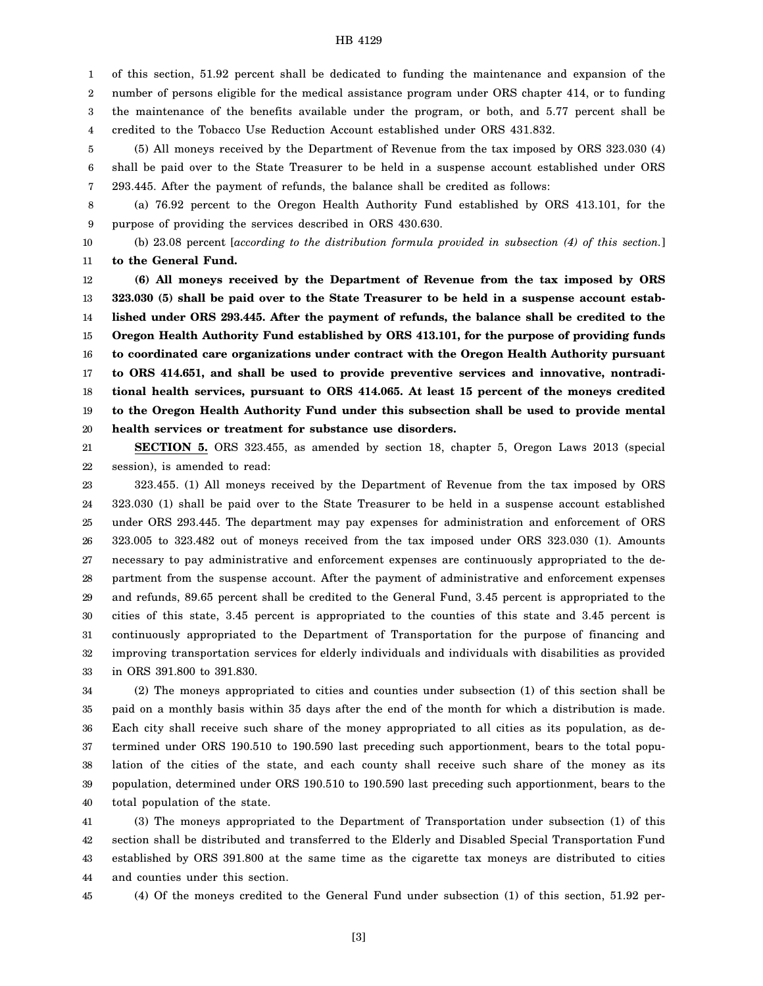1 2 3 4 of this section, 51.92 percent shall be dedicated to funding the maintenance and expansion of the number of persons eligible for the medical assistance program under ORS chapter 414, or to funding the maintenance of the benefits available under the program, or both, and 5.77 percent shall be credited to the Tobacco Use Reduction Account established under ORS 431.832.

5 6 7 (5) All moneys received by the Department of Revenue from the tax imposed by ORS 323.030 (4) shall be paid over to the State Treasurer to be held in a suspense account established under ORS 293.445. After the payment of refunds, the balance shall be credited as follows:

8 9 (a) 76.92 percent to the Oregon Health Authority Fund established by ORS 413.101, for the purpose of providing the services described in ORS 430.630.

10 11 (b) 23.08 percent [*according to the distribution formula provided in subsection (4) of this section.*] **to the General Fund.**

12 13 14 15 16 17 18 19 20 **(6) All moneys received by the Department of Revenue from the tax imposed by ORS 323.030 (5) shall be paid over to the State Treasurer to be held in a suspense account established under ORS 293.445. After the payment of refunds, the balance shall be credited to the Oregon Health Authority Fund established by ORS 413.101, for the purpose of providing funds to coordinated care organizations under contract with the Oregon Health Authority pursuant to ORS 414.651, and shall be used to provide preventive services and innovative, nontraditional health services, pursuant to ORS 414.065. At least 15 percent of the moneys credited to the Oregon Health Authority Fund under this subsection shall be used to provide mental health services or treatment for substance use disorders.**

21 22 **SECTION 5.** ORS 323.455, as amended by section 18, chapter 5, Oregon Laws 2013 (special session), is amended to read:

23 24 25 26 27 28 29 30 31 32 33 323.455. (1) All moneys received by the Department of Revenue from the tax imposed by ORS 323.030 (1) shall be paid over to the State Treasurer to be held in a suspense account established under ORS 293.445. The department may pay expenses for administration and enforcement of ORS 323.005 to 323.482 out of moneys received from the tax imposed under ORS 323.030 (1). Amounts necessary to pay administrative and enforcement expenses are continuously appropriated to the department from the suspense account. After the payment of administrative and enforcement expenses and refunds, 89.65 percent shall be credited to the General Fund, 3.45 percent is appropriated to the cities of this state, 3.45 percent is appropriated to the counties of this state and 3.45 percent is continuously appropriated to the Department of Transportation for the purpose of financing and improving transportation services for elderly individuals and individuals with disabilities as provided in ORS 391.800 to 391.830.

34 35 36 37 38 39 40 (2) The moneys appropriated to cities and counties under subsection (1) of this section shall be paid on a monthly basis within 35 days after the end of the month for which a distribution is made. Each city shall receive such share of the money appropriated to all cities as its population, as determined under ORS 190.510 to 190.590 last preceding such apportionment, bears to the total population of the cities of the state, and each county shall receive such share of the money as its population, determined under ORS 190.510 to 190.590 last preceding such apportionment, bears to the total population of the state.

41 42 43 44 (3) The moneys appropriated to the Department of Transportation under subsection (1) of this section shall be distributed and transferred to the Elderly and Disabled Special Transportation Fund established by ORS 391.800 at the same time as the cigarette tax moneys are distributed to cities and counties under this section.

45

(4) Of the moneys credited to the General Fund under subsection (1) of this section, 51.92 per-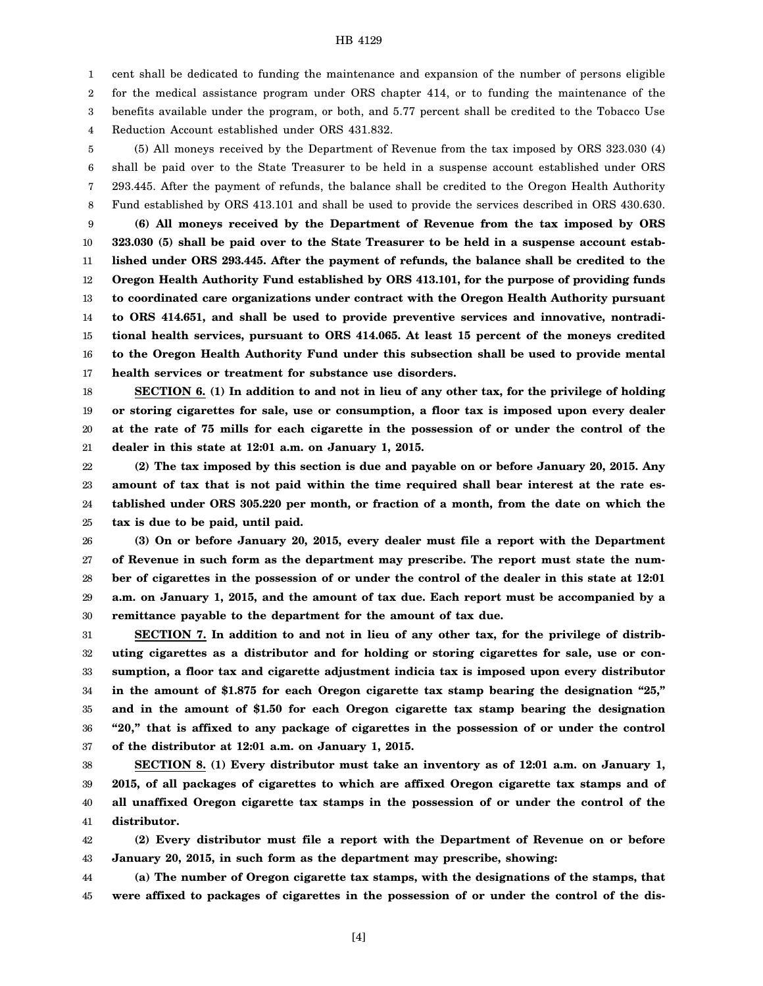1 cent shall be dedicated to funding the maintenance and expansion of the number of persons eligible

2 3 for the medical assistance program under ORS chapter 414, or to funding the maintenance of the benefits available under the program, or both, and 5.77 percent shall be credited to the Tobacco Use

4 Reduction Account established under ORS 431.832.

5 6 7 8 9 10 11 12 13 14 15 16 17 (5) All moneys received by the Department of Revenue from the tax imposed by ORS 323.030 (4) shall be paid over to the State Treasurer to be held in a suspense account established under ORS 293.445. After the payment of refunds, the balance shall be credited to the Oregon Health Authority Fund established by ORS 413.101 and shall be used to provide the services described in ORS 430.630. **(6) All moneys received by the Department of Revenue from the tax imposed by ORS 323.030 (5) shall be paid over to the State Treasurer to be held in a suspense account established under ORS 293.445. After the payment of refunds, the balance shall be credited to the Oregon Health Authority Fund established by ORS 413.101, for the purpose of providing funds to coordinated care organizations under contract with the Oregon Health Authority pursuant to ORS 414.651, and shall be used to provide preventive services and innovative, nontraditional health services, pursuant to ORS 414.065. At least 15 percent of the moneys credited to the Oregon Health Authority Fund under this subsection shall be used to provide mental health services or treatment for substance use disorders.**

18 19 20 21 **SECTION 6. (1) In addition to and not in lieu of any other tax, for the privilege of holding or storing cigarettes for sale, use or consumption, a floor tax is imposed upon every dealer at the rate of 75 mills for each cigarette in the possession of or under the control of the dealer in this state at 12:01 a.m. on January 1, 2015.**

22 23 24 25 **(2) The tax imposed by this section is due and payable on or before January 20, 2015. Any amount of tax that is not paid within the time required shall bear interest at the rate established under ORS 305.220 per month, or fraction of a month, from the date on which the tax is due to be paid, until paid.**

26 27 28 29 30 **(3) On or before January 20, 2015, every dealer must file a report with the Department of Revenue in such form as the department may prescribe. The report must state the number of cigarettes in the possession of or under the control of the dealer in this state at 12:01 a.m. on January 1, 2015, and the amount of tax due. Each report must be accompanied by a remittance payable to the department for the amount of tax due.**

31 32 33 34 35 36 37 **SECTION 7. In addition to and not in lieu of any other tax, for the privilege of distributing cigarettes as a distributor and for holding or storing cigarettes for sale, use or consumption, a floor tax and cigarette adjustment indicia tax is imposed upon every distributor in the amount of \$1.875 for each Oregon cigarette tax stamp bearing the designation "25," and in the amount of \$1.50 for each Oregon cigarette tax stamp bearing the designation "20," that is affixed to any package of cigarettes in the possession of or under the control of the distributor at 12:01 a.m. on January 1, 2015.**

38 39 40 41 **SECTION 8. (1) Every distributor must take an inventory as of 12:01 a.m. on January 1, 2015, of all packages of cigarettes to which are affixed Oregon cigarette tax stamps and of all unaffixed Oregon cigarette tax stamps in the possession of or under the control of the distributor.**

42 43 **(2) Every distributor must file a report with the Department of Revenue on or before January 20, 2015, in such form as the department may prescribe, showing:**

44 45 **(a) The number of Oregon cigarette tax stamps, with the designations of the stamps, that were affixed to packages of cigarettes in the possession of or under the control of the dis-**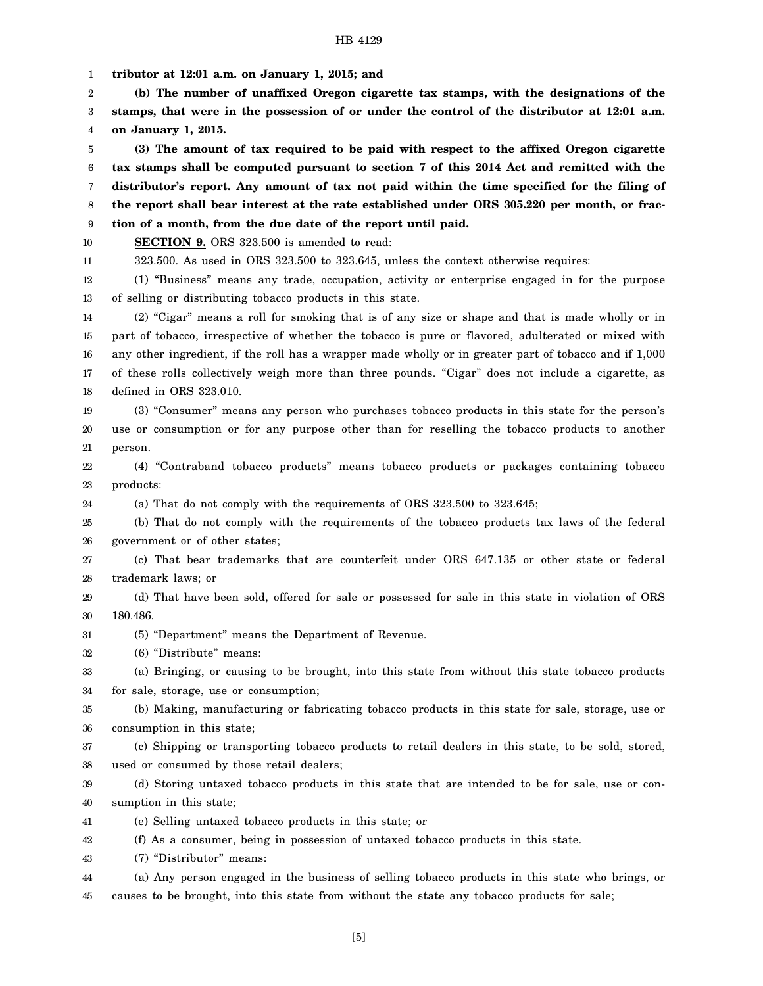1 2 3 4 5 6 7 8 9 10 11 12 13 14 15 16 17 18 19 20 21 22 23 24 25 26 27 28 29 30 31 32 33 34 35 36 37 38 39 40 41 42 43 **tributor at 12:01 a.m. on January 1, 2015; and (b) The number of unaffixed Oregon cigarette tax stamps, with the designations of the stamps, that were in the possession of or under the control of the distributor at 12:01 a.m. on January 1, 2015. (3) The amount of tax required to be paid with respect to the affixed Oregon cigarette tax stamps shall be computed pursuant to section 7 of this 2014 Act and remitted with the distributor's report. Any amount of tax not paid within the time specified for the filing of the report shall bear interest at the rate established under ORS 305.220 per month, or fraction of a month, from the due date of the report until paid. SECTION 9.** ORS 323.500 is amended to read: 323.500. As used in ORS 323.500 to 323.645, unless the context otherwise requires: (1) "Business" means any trade, occupation, activity or enterprise engaged in for the purpose of selling or distributing tobacco products in this state. (2) "Cigar" means a roll for smoking that is of any size or shape and that is made wholly or in part of tobacco, irrespective of whether the tobacco is pure or flavored, adulterated or mixed with any other ingredient, if the roll has a wrapper made wholly or in greater part of tobacco and if 1,000 of these rolls collectively weigh more than three pounds. "Cigar" does not include a cigarette, as defined in ORS 323.010. (3) "Consumer" means any person who purchases tobacco products in this state for the person's use or consumption or for any purpose other than for reselling the tobacco products to another person. (4) "Contraband tobacco products" means tobacco products or packages containing tobacco products: (a) That do not comply with the requirements of ORS 323.500 to 323.645; (b) That do not comply with the requirements of the tobacco products tax laws of the federal government or of other states; (c) That bear trademarks that are counterfeit under ORS 647.135 or other state or federal trademark laws; or (d) That have been sold, offered for sale or possessed for sale in this state in violation of ORS 180.486. (5) "Department" means the Department of Revenue. (6) "Distribute" means: (a) Bringing, or causing to be brought, into this state from without this state tobacco products for sale, storage, use or consumption; (b) Making, manufacturing or fabricating tobacco products in this state for sale, storage, use or consumption in this state; (c) Shipping or transporting tobacco products to retail dealers in this state, to be sold, stored, used or consumed by those retail dealers; (d) Storing untaxed tobacco products in this state that are intended to be for sale, use or consumption in this state; (e) Selling untaxed tobacco products in this state; or (f) As a consumer, being in possession of untaxed tobacco products in this state. (7) "Distributor" means:

44 45 (a) Any person engaged in the business of selling tobacco products in this state who brings, or causes to be brought, into this state from without the state any tobacco products for sale;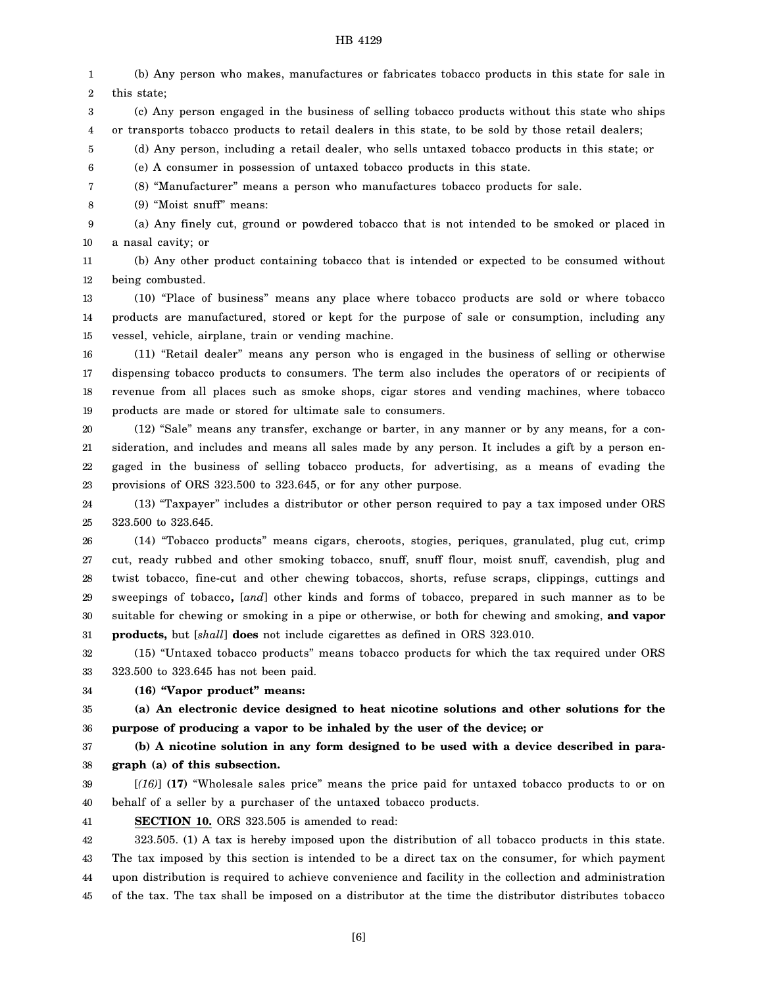1 2 (b) Any person who makes, manufactures or fabricates tobacco products in this state for sale in this state;

3 4 (c) Any person engaged in the business of selling tobacco products without this state who ships or transports tobacco products to retail dealers in this state, to be sold by those retail dealers;

5 (d) Any person, including a retail dealer, who sells untaxed tobacco products in this state; or

6 (e) A consumer in possession of untaxed tobacco products in this state.

7 (8) "Manufacturer" means a person who manufactures tobacco products for sale.

8 (9) "Moist snuff" means:

9 10 (a) Any finely cut, ground or powdered tobacco that is not intended to be smoked or placed in a nasal cavity; or

11 12 (b) Any other product containing tobacco that is intended or expected to be consumed without being combusted.

13 14 15 (10) "Place of business" means any place where tobacco products are sold or where tobacco products are manufactured, stored or kept for the purpose of sale or consumption, including any vessel, vehicle, airplane, train or vending machine.

16 17 18 19 (11) "Retail dealer" means any person who is engaged in the business of selling or otherwise dispensing tobacco products to consumers. The term also includes the operators of or recipients of revenue from all places such as smoke shops, cigar stores and vending machines, where tobacco products are made or stored for ultimate sale to consumers.

20 21 22 23 (12) "Sale" means any transfer, exchange or barter, in any manner or by any means, for a consideration, and includes and means all sales made by any person. It includes a gift by a person engaged in the business of selling tobacco products, for advertising, as a means of evading the provisions of ORS 323.500 to 323.645, or for any other purpose.

24 25 (13) "Taxpayer" includes a distributor or other person required to pay a tax imposed under ORS 323.500 to 323.645.

26 27 28 29 30 31 (14) "Tobacco products" means cigars, cheroots, stogies, periques, granulated, plug cut, crimp cut, ready rubbed and other smoking tobacco, snuff, snuff flour, moist snuff, cavendish, plug and twist tobacco, fine-cut and other chewing tobaccos, shorts, refuse scraps, clippings, cuttings and sweepings of tobacco**,** [*and*] other kinds and forms of tobacco, prepared in such manner as to be suitable for chewing or smoking in a pipe or otherwise, or both for chewing and smoking, **and vapor products,** but [*shall*] **does** not include cigarettes as defined in ORS 323.010.

32 33 (15) "Untaxed tobacco products" means tobacco products for which the tax required under ORS 323.500 to 323.645 has not been paid.

34 **(16) "Vapor product" means:**

35 36 **(a) An electronic device designed to heat nicotine solutions and other solutions for the purpose of producing a vapor to be inhaled by the user of the device; or**

37 38 **(b) A nicotine solution in any form designed to be used with a device described in paragraph (a) of this subsection.**

39 40 [*(16)*] **(17)** "Wholesale sales price" means the price paid for untaxed tobacco products to or on behalf of a seller by a purchaser of the untaxed tobacco products.

41

**SECTION 10.** ORS 323.505 is amended to read:

42 43 44 45 323.505. (1) A tax is hereby imposed upon the distribution of all tobacco products in this state. The tax imposed by this section is intended to be a direct tax on the consumer, for which payment upon distribution is required to achieve convenience and facility in the collection and administration of the tax. The tax shall be imposed on a distributor at the time the distributor distributes tobacco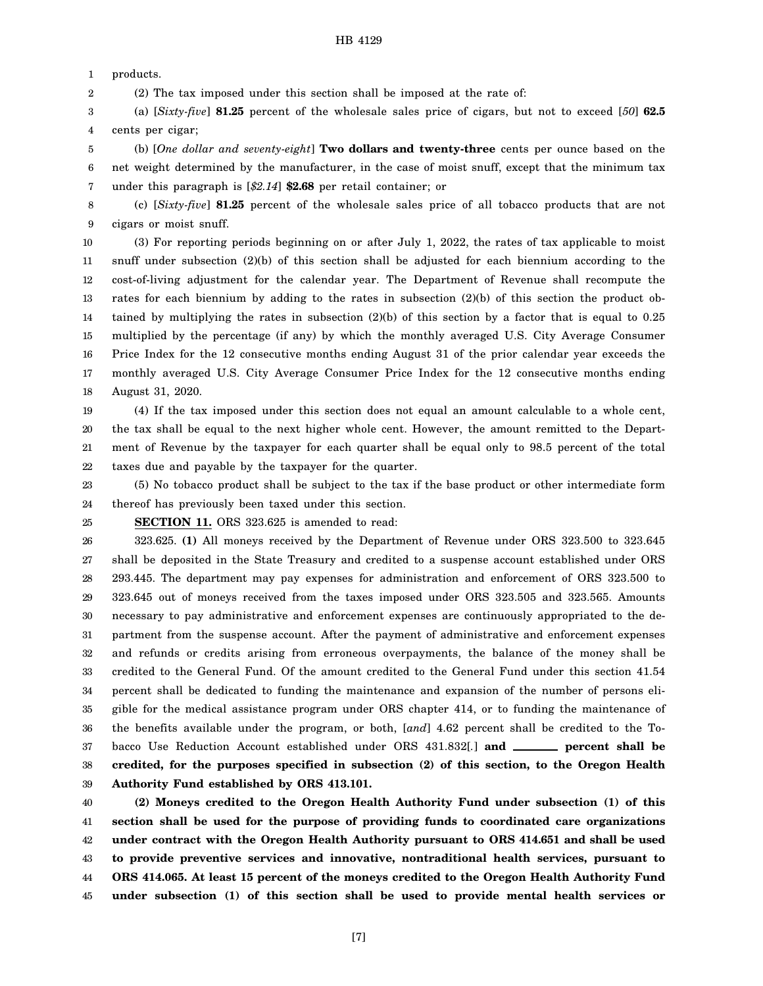1 products.

2 (2) The tax imposed under this section shall be imposed at the rate of:

3 4 (a) [*Sixty-five*] **81.25** percent of the wholesale sales price of cigars, but not to exceed [*50*] **62.5** cents per cigar;

5 6 7 (b) [*One dollar and seventy-eight*] **Two dollars and twenty-three** cents per ounce based on the net weight determined by the manufacturer, in the case of moist snuff, except that the minimum tax under this paragraph is [*\$2.14*] **\$2.68** per retail container; or

8 9 (c) [*Sixty-five*] **81.25** percent of the wholesale sales price of all tobacco products that are not cigars or moist snuff.

10 11 12 13 14 15 16 17 18 (3) For reporting periods beginning on or after July 1, 2022, the rates of tax applicable to moist snuff under subsection (2)(b) of this section shall be adjusted for each biennium according to the cost-of-living adjustment for the calendar year. The Department of Revenue shall recompute the rates for each biennium by adding to the rates in subsection (2)(b) of this section the product obtained by multiplying the rates in subsection (2)(b) of this section by a factor that is equal to 0.25 multiplied by the percentage (if any) by which the monthly averaged U.S. City Average Consumer Price Index for the 12 consecutive months ending August 31 of the prior calendar year exceeds the monthly averaged U.S. City Average Consumer Price Index for the 12 consecutive months ending August 31, 2020.

19 20 21 22 (4) If the tax imposed under this section does not equal an amount calculable to a whole cent, the tax shall be equal to the next higher whole cent. However, the amount remitted to the Department of Revenue by the taxpayer for each quarter shall be equal only to 98.5 percent of the total taxes due and payable by the taxpayer for the quarter.

23 24 (5) No tobacco product shall be subject to the tax if the base product or other intermediate form thereof has previously been taxed under this section.

25

**SECTION 11.** ORS 323.625 is amended to read:

26 27 28 29 30 31 32 33 34 35 36 37 38 39 323.625. **(1)** All moneys received by the Department of Revenue under ORS 323.500 to 323.645 shall be deposited in the State Treasury and credited to a suspense account established under ORS 293.445. The department may pay expenses for administration and enforcement of ORS 323.500 to 323.645 out of moneys received from the taxes imposed under ORS 323.505 and 323.565. Amounts necessary to pay administrative and enforcement expenses are continuously appropriated to the department from the suspense account. After the payment of administrative and enforcement expenses and refunds or credits arising from erroneous overpayments, the balance of the money shall be credited to the General Fund. Of the amount credited to the General Fund under this section 41.54 percent shall be dedicated to funding the maintenance and expansion of the number of persons eligible for the medical assistance program under ORS chapter 414, or to funding the maintenance of the benefits available under the program, or both, [*and*] 4.62 percent shall be credited to the Tobacco Use Reduction Account established under ORS 431.832[.] and **\_\_\_\_\_\_** percent shall be **credited, for the purposes specified in subsection (2) of this section, to the Oregon Health Authority Fund established by ORS 413.101.**

40 41 42 43 44 45 **(2) Moneys credited to the Oregon Health Authority Fund under subsection (1) of this section shall be used for the purpose of providing funds to coordinated care organizations under contract with the Oregon Health Authority pursuant to ORS 414.651 and shall be used to provide preventive services and innovative, nontraditional health services, pursuant to ORS 414.065. At least 15 percent of the moneys credited to the Oregon Health Authority Fund under subsection (1) of this section shall be used to provide mental health services or**

[7]